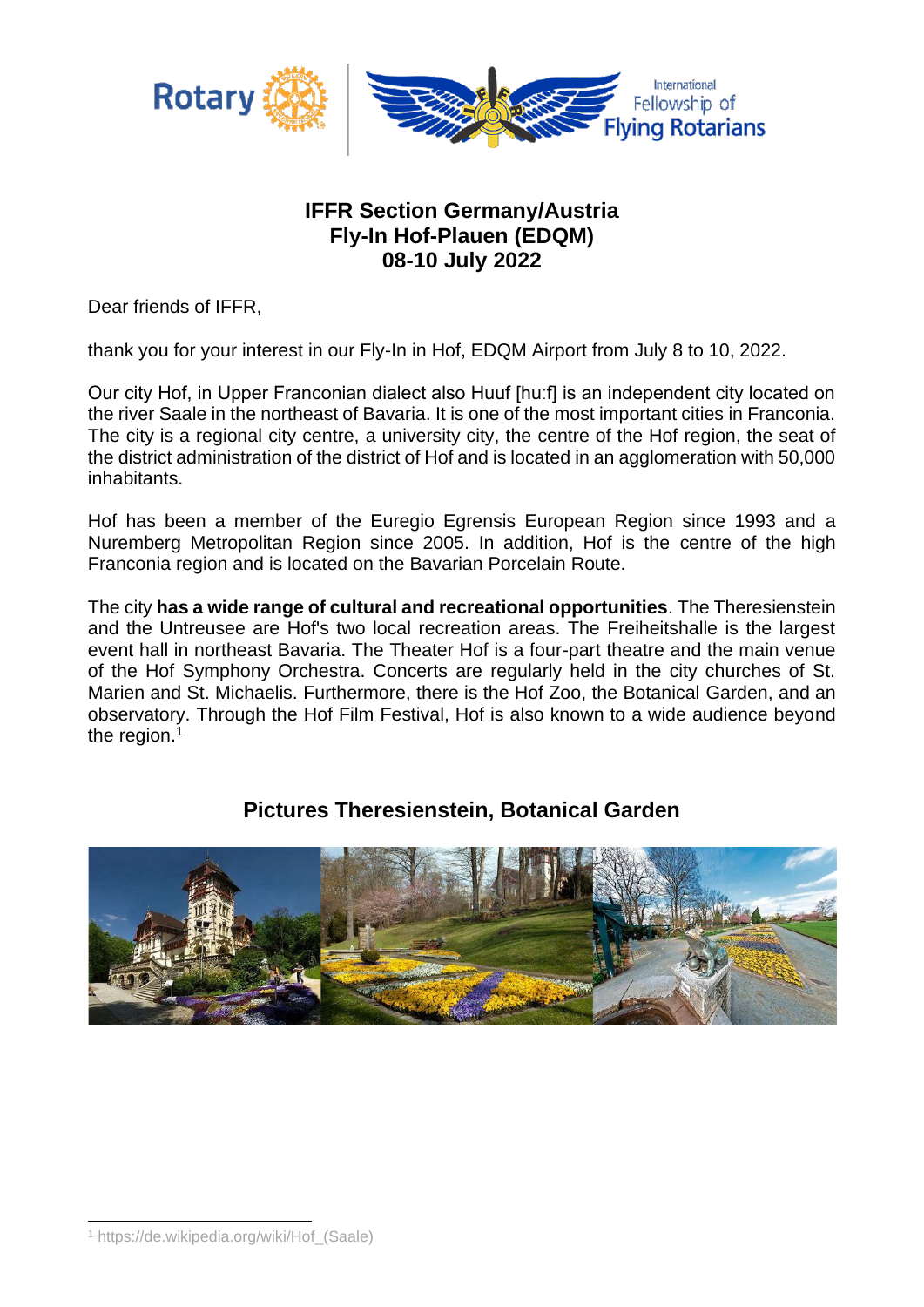

### **IFFR Section Germany/Austria Fly-In Hof-Plauen (EDQM) 08-10 July 2022**

Dear friends of IFFR,

thank you for your interest in our Fly-In in Hof, EDQM Airport from July 8 to 10, 2022.

Our city Hof, in Upper Franconian dialect also Huuf [huːf] is an independent city located on the river Saale in the northeast of Bavaria. It is one of the most important cities in Franconia. The city is a regional city centre, a university city, the centre of the Hof region, the seat of the district administration of the district of Hof and is located in an agglomeration with 50,000 inhabitants.

Hof has been a member of the Euregio Egrensis European Region since 1993 and a Nuremberg Metropolitan Region since 2005. In addition, Hof is the centre of the high Franconia region and is located on the Bavarian Porcelain Route.

The city **has a wide range of cultural and recreational opportunities**. The Theresienstein and the Untreusee are Hof's two local recreation areas. The Freiheitshalle is the largest event hall in northeast Bavaria. The Theater Hof is a four-part theatre and the main venue of the Hof Symphony Orchestra. Concerts are regularly held in the city churches of St. Marien and St. Michaelis. Furthermore, there is the Hof Zoo, the Botanical Garden, and an observatory. Through the Hof Film Festival, Hof is also known to a wide audience beyond the region.<sup>1</sup>

### **Pictures Theresienstein, Botanical Garden**



<sup>1</sup> https://de.wikipedia.org/wiki/Hof\_(Saale)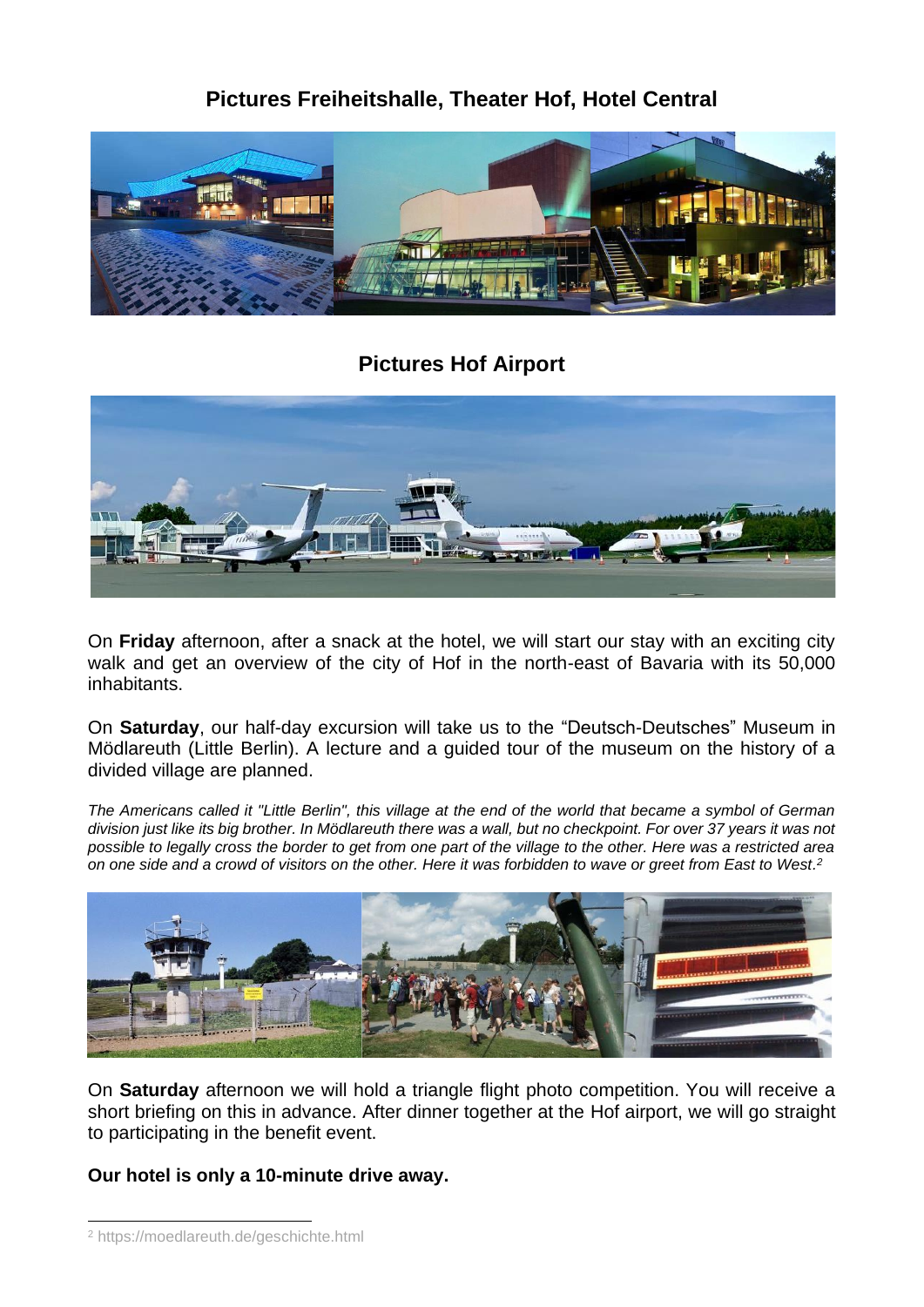## **Pictures Freiheitshalle, Theater Hof, Hotel Central**



### **Pictures Hof Airport**



On **Friday** afternoon, after a snack at the hotel, we will start our stay with an exciting city walk and get an overview of the city of Hof in the north-east of Bavaria with its 50,000 inhabitants.

On **Saturday**, our half-day excursion will take us to the "Deutsch-Deutsches" Museum in Mödlareuth (Little Berlin). A lecture and a guided tour of the museum on the history of a divided village are planned.

*The Americans called it "Little Berlin", this village at the end of the world that became a symbol of German division just like its big brother. In Mödlareuth there was a wall, but no checkpoint. For over 37 years it was not possible to legally cross the border to get from one part of the village to the other. Here was a restricted area on one side and a crowd of visitors on the other. Here it was forbidden to wave or greet from East to West. 2*



On **Saturday** afternoon we will hold a triangle flight photo competition. You will receive a short briefing on this in advance. After dinner together at the Hof airport, we will go straight to participating in the benefit event.

### **Our hotel is only a 10-minute drive away.**

<sup>2</sup> https://moedlareuth.de/geschichte.html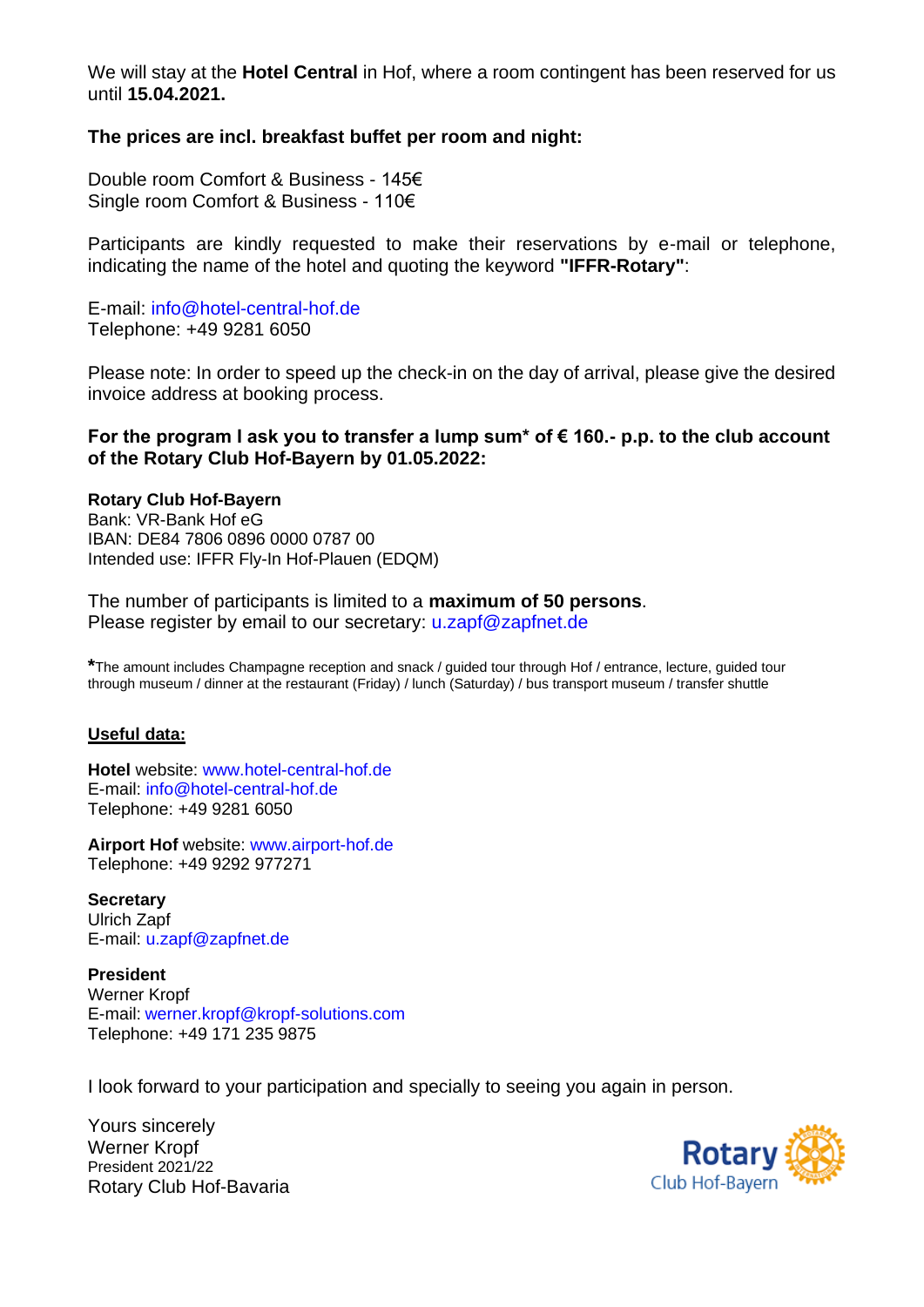We will stay at the **Hotel Central** in Hof, where a room contingent has been reserved for us until **15.04.2021.**

#### **The prices are incl. breakfast buffet per room and night:**

Double room Comfort & Business - 145€ Single room Comfort & Business - 110€

Participants are kindly requested to make their reservations by e-mail or telephone, indicating the name of the hotel and quoting the keyword **"IFFR-Rotary"**:

E-mail: info@hotel-central-hof.de Telephone: +49 9281 6050

Please note: In order to speed up the check-in on the day of arrival, please give the desired invoice address at booking process.

#### **For the program I ask you to transfer a lump sum\* of € 160.- p.p. to the club account of the Rotary Club Hof-Bayern by 01.05.2022:**

#### **Rotary Club Hof-Bayern**

Bank: VR-Bank Hof eG IBAN: DE84 7806 0896 0000 0787 00 Intended use: IFFR Fly-In Hof-Plauen (EDQM)

The number of participants is limited to a **maximum of 50 persons**. Please register by email to our secretary: u.zapf@zapfnet.de

**\***The amount includes Champagne reception and snack / guided tour through Hof / entrance, lecture, guided tour through museum / dinner at the restaurant (Friday) / lunch (Saturday) / bus transport museum / transfer shuttle

#### **Useful data:**

**Hotel** website: www.hotel-central-hof.de E-mail: info@hotel-central-hof.de Telephone: +49 9281 6050

**Airport Hof** website: www.airport-hof.de Telephone: +49 9292 977271

**Secretary** Ulrich Zapf E-mail: u.zapf@zapfnet.de

**President** Werner Kropf E-mail: werner.kropf@kropf-solutions.com Telephone: +49 171 235 9875

I look forward to your participation and specially to seeing you again in person.

Yours sincerely Werner Kropf President 2021/22 Rotary Club Hof-Bavaria